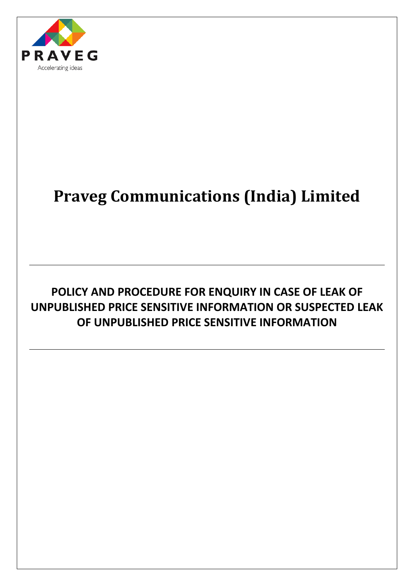

# **Praveg Communications (India) Limited**

# **POLICY AND PROCEDURE FOR ENQUIRY IN CASE OF LEAK OF UNPUBLISHED PRICE SENSITIVE INFORMATION OR SUSPECTED LEAK OF UNPUBLISHED PRICE SENSITIVE INFORMATION**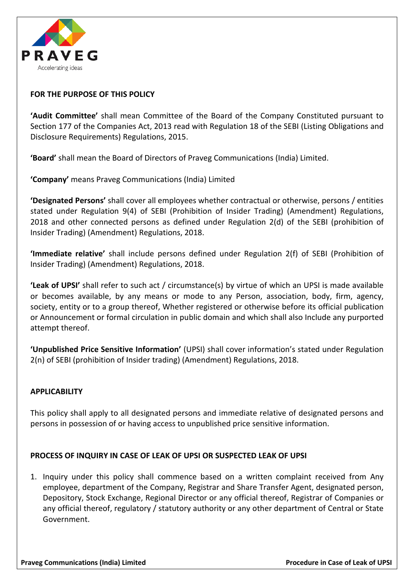

## **FOR THE PURPOSE OF THIS POLICY**

**'Audit Committee'** shall mean Committee of the Board of the Company Constituted pursuant to Section 177 of the Companies Act, 2013 read with Regulation 18 of the SEBI (Listing Obligations and Disclosure Requirements) Regulations, 2015.

**'Board'** shall mean the Board of Directors of Praveg Communications (India) Limited.

**'Company'** means Praveg Communications (India) Limited

**'Designated Persons'** shall cover all employees whether contractual or otherwise, persons / entities stated under Regulation 9(4) of SEBI (Prohibition of Insider Trading) (Amendment) Regulations, 2018 and other connected persons as defined under Regulation 2(d) of the SEBI (prohibition of Insider Trading) (Amendment) Regulations, 2018.

**'Immediate relative'** shall include persons defined under Regulation 2(f) of SEBI (Prohibition of Insider Trading) (Amendment) Regulations, 2018.

**'Leak of UPSI'** shall refer to such act / circumstance(s) by virtue of which an UPSI is made available or becomes available, by any means or mode to any Person, association, body, firm, agency, society, entity or to a group thereof, Whether registered or otherwise before its official publication or Announcement or formal circulation in public domain and which shall also Include any purported attempt thereof.

**'Unpublished Price Sensitive Information'** (UPSI) shall cover information's stated under Regulation 2(n) of SEBI (prohibition of Insider trading) (Amendment) Regulations, 2018.

### **APPLICABILITY**

This policy shall apply to all designated persons and immediate relative of designated persons and persons in possession of or having access to unpublished price sensitive information.

### **PROCESS OF INQUIRY IN CASE OF LEAK OF UPSI OR SUSPECTED LEAK OF UPSI**

1. Inquiry under this policy shall commence based on a written complaint received from Any employee, department of the Company, Registrar and Share Transfer Agent, designated person, Depository, Stock Exchange, Regional Director or any official thereof, Registrar of Companies or any official thereof, regulatory / statutory authority or any other department of Central or State Government.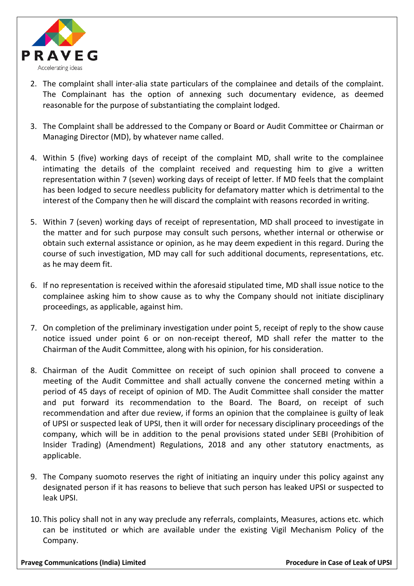

- 2. The complaint shall inter-alia state particulars of the complainee and details of the complaint. The Complainant has the option of annexing such documentary evidence, as deemed reasonable for the purpose of substantiating the complaint lodged.
- 3. The Complaint shall be addressed to the Company or Board or Audit Committee or Chairman or Managing Director (MD), by whatever name called.
- 4. Within 5 (five) working days of receipt of the complaint MD, shall write to the complainee intimating the details of the complaint received and requesting him to give a written representation within 7 (seven) working days of receipt of letter. If MD feels that the complaint has been lodged to secure needless publicity for defamatory matter which is detrimental to the interest of the Company then he will discard the complaint with reasons recorded in writing.
- 5. Within 7 (seven) working days of receipt of representation, MD shall proceed to investigate in the matter and for such purpose may consult such persons, whether internal or otherwise or obtain such external assistance or opinion, as he may deem expedient in this regard. During the course of such investigation, MD may call for such additional documents, representations, etc. as he may deem fit.
- 6. If no representation is received within the aforesaid stipulated time, MD shall issue notice to the complainee asking him to show cause as to why the Company should not initiate disciplinary proceedings, as applicable, against him.
- 7. On completion of the preliminary investigation under point 5, receipt of reply to the show cause notice issued under point 6 or on non-receipt thereof, MD shall refer the matter to the Chairman of the Audit Committee, along with his opinion, for his consideration.
- 8. Chairman of the Audit Committee on receipt of such opinion shall proceed to convene a meeting of the Audit Committee and shall actually convene the concerned meting within a period of 45 days of receipt of opinion of MD. The Audit Committee shall consider the matter and put forward its recommendation to the Board. The Board, on receipt of such recommendation and after due review, if forms an opinion that the complainee is guilty of leak of UPSI or suspected leak of UPSI, then it will order for necessary disciplinary proceedings of the company, which will be in addition to the penal provisions stated under SEBI (Prohibition of Insider Trading) (Amendment) Regulations, 2018 and any other statutory enactments, as applicable.
- 9. The Company suomoto reserves the right of initiating an inquiry under this policy against any designated person if it has reasons to believe that such person has leaked UPSI or suspected to leak UPSI.
- 10. This policy shall not in any way preclude any referrals, complaints, Measures, actions etc. which can be instituted or which are available under the existing Vigil Mechanism Policy of the Company.